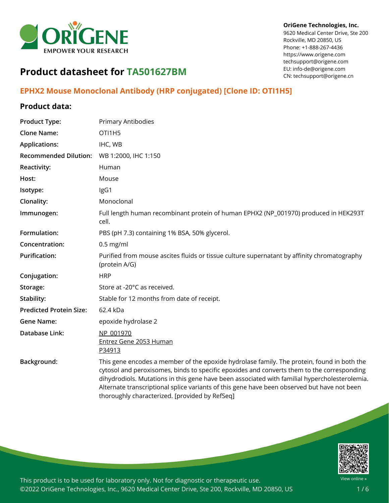

#### **OriGene Technologies, Inc.**

9620 Medical Center Drive, Ste 200 Rockville, MD 20850, US Phone: +1-888-267-4436 https://www.origene.com techsupport@origene.com EU: info-de@origene.com CN: techsupport@origene.cn

# **Product datasheet for TA501627BM**

## **EPHX2 Mouse Monoclonal Antibody (HRP conjugated) [Clone ID: OTI1H5]**

### **Product data:**

| <b>Product Type:</b>           | Primary Antibodies                                                                                                                                                                                                                                                                                                                                                                                                                         |
|--------------------------------|--------------------------------------------------------------------------------------------------------------------------------------------------------------------------------------------------------------------------------------------------------------------------------------------------------------------------------------------------------------------------------------------------------------------------------------------|
| <b>Clone Name:</b>             | OTI1H <sub>5</sub>                                                                                                                                                                                                                                                                                                                                                                                                                         |
| <b>Applications:</b>           | IHC, WB                                                                                                                                                                                                                                                                                                                                                                                                                                    |
| <b>Recommended Dilution:</b>   | WB 1:2000, IHC 1:150                                                                                                                                                                                                                                                                                                                                                                                                                       |
| Reactivity:                    | Human                                                                                                                                                                                                                                                                                                                                                                                                                                      |
| Host:                          | Mouse                                                                                                                                                                                                                                                                                                                                                                                                                                      |
| Isotype:                       | IgG1                                                                                                                                                                                                                                                                                                                                                                                                                                       |
| Clonality:                     | Monoclonal                                                                                                                                                                                                                                                                                                                                                                                                                                 |
| Immunogen:                     | Full length human recombinant protein of human EPHX2 (NP_001970) produced in HEK293T<br>cell.                                                                                                                                                                                                                                                                                                                                              |
| Formulation:                   | PBS (pH 7.3) containing 1% BSA, 50% glycerol.                                                                                                                                                                                                                                                                                                                                                                                              |
| Concentration:                 | $0.5$ mg/ml                                                                                                                                                                                                                                                                                                                                                                                                                                |
| <b>Purification:</b>           | Purified from mouse ascites fluids or tissue culture supernatant by affinity chromatography<br>(protein A/G)                                                                                                                                                                                                                                                                                                                               |
| Conjugation:                   | <b>HRP</b>                                                                                                                                                                                                                                                                                                                                                                                                                                 |
| Storage:                       | Store at -20°C as received.                                                                                                                                                                                                                                                                                                                                                                                                                |
| Stability:                     | Stable for 12 months from date of receipt.                                                                                                                                                                                                                                                                                                                                                                                                 |
| <b>Predicted Protein Size:</b> | 62.4 kDa                                                                                                                                                                                                                                                                                                                                                                                                                                   |
| <b>Gene Name:</b>              | epoxide hydrolase 2                                                                                                                                                                                                                                                                                                                                                                                                                        |
| Database Link:                 | NP 001970<br>Entrez Gene 2053 Human<br>P34913                                                                                                                                                                                                                                                                                                                                                                                              |
| Background:                    | This gene encodes a member of the epoxide hydrolase family. The protein, found in both the<br>cytosol and peroxisomes, binds to specific epoxides and converts them to the corresponding<br>dihydrodiols. Mutations in this gene have been associated with familial hypercholesterolemia.<br>Alternate transcriptional splice variants of this gene have been observed but have not been<br>thoroughly characterized. [provided by RefSeq] |

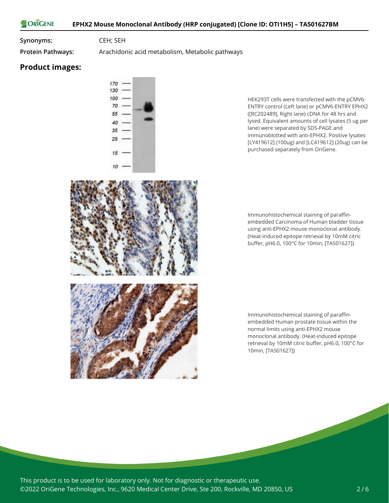**Synonyms:** CEH; SEH

**Protein Pathways:** Arachidonic acid metabolism, Metabolic pathways

#### **Product images:**



HEK293T cells were transfected with the pCMV6- ENTRY control (Left lane) or pCMV6-ENTRY EPHX2 ([RC202489], Right lane) cDNA for 48 hrs and lysed. Equivalent amounts of cell lysates (5 ug per lane) were separated by SDS-PAGE and immunoblotted with anti-EPHX2. Positive lysates [LY419612] (100ug) and [LC419612] (20ug) can be purchased separately from OriGene.

Immunohistochemical staining of paraffinembedded Carcinoma of Human bladder tissue using anti-EPHX2 mouse monoclonal antibody. (Heat-induced epitope retrieval by 10mM citric buffer, pH6.0, 100°C for 10min, [TA501627])



Immunohistochemical staining of paraffinembedded Human prostate tissue within the normal limits using anti-EPHX2 mouse monoclonal antibody. (Heat-induced epitope retrieval by 10mM citric buffer, pH6.0, 100°C for 10min, [TA501627])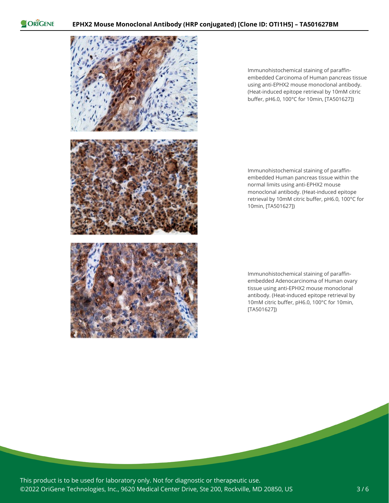

Immunohistochemical staining of paraffinembedded Carcinoma of Human pancreas tissue using anti-EPHX2 mouse monoclonal antibody. (Heat-induced epitope retrieval by 10mM citric buffer, pH6.0, 100°C for 10min, [TA501627])

Immunohistochemical staining of paraffinembedded Human pancreas tissue within the normal limits using anti-EPHX2 mouse monoclonal antibody. (Heat-induced epitope retrieval by 10mM citric buffer, pH6.0, 100°C for 10min, [TA501627])

Immunohistochemical staining of paraffinembedded Adenocarcinoma of Human ovary tissue using anti-EPHX2 mouse monoclonal antibody. (Heat-induced epitope retrieval by 10mM citric buffer, pH6.0, 100°C for 10min, [TA501627])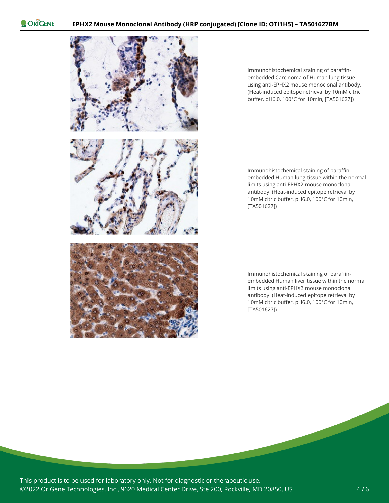

Immunohistochemical staining of paraffinembedded Carcinoma of Human lung tissue using anti-EPHX2 mouse monoclonal antibody. (Heat-induced epitope retrieval by 10mM citric buffer, pH6.0, 100°C for 10min, [TA501627])

Immunohistochemical staining of paraffinembedded Human lung tissue within the normal limits using anti-EPHX2 mouse monoclonal antibody. (Heat-induced epitope retrieval by 10mM citric buffer, pH6.0, 100°C for 10min, [TA501627])

Immunohistochemical staining of paraffinembedded Human liver tissue within the normal limits using anti-EPHX2 mouse monoclonal antibody. (Heat-induced epitope retrieval by 10mM citric buffer, pH6.0, 100°C for 10min, [TA501627])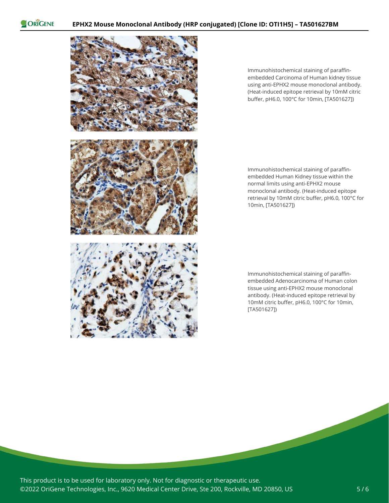

Immunohistochemical staining of paraffinembedded Carcinoma of Human kidney tissue using anti-EPHX2 mouse monoclonal antibody. (Heat-induced epitope retrieval by 10mM citric buffer, pH6.0, 100°C for 10min, [TA501627])

Immunohistochemical staining of paraffinembedded Human Kidney tissue within the normal limits using anti-EPHX2 mouse monoclonal antibody. (Heat-induced epitope retrieval by 10mM citric buffer, pH6.0, 100°C for 10min, [TA501627])

Immunohistochemical staining of paraffinembedded Adenocarcinoma of Human colon tissue using anti-EPHX2 mouse monoclonal antibody. (Heat-induced epitope retrieval by 10mM citric buffer, pH6.0, 100°C for 10min, [TA501627])